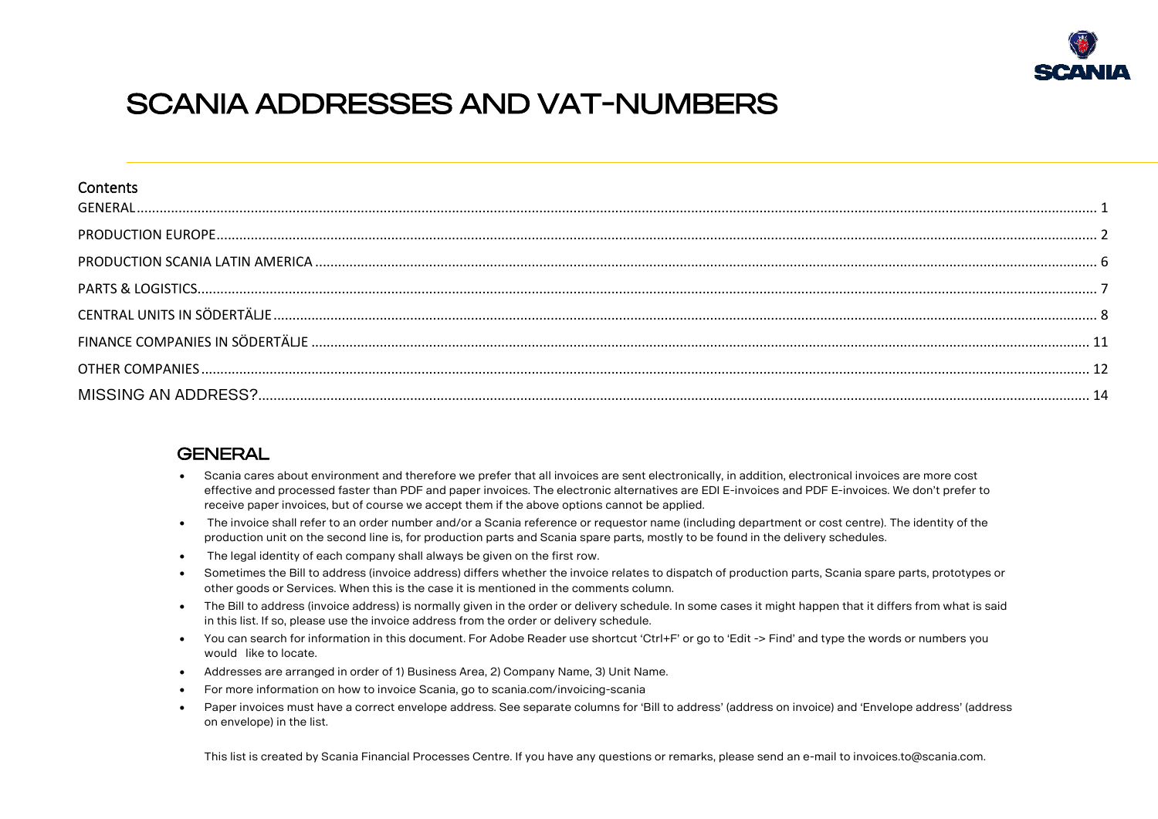

# <span id="page-0-0"></span>Scania addresses and VAT-numbers

| Contents |  |
|----------|--|
|          |  |
|          |  |
|          |  |
|          |  |
|          |  |
|          |  |
|          |  |

#### **GENERAL**

- Scania cares about environment and therefore we prefer that all invoices are sent electronically, in addition, electronical invoices are more cost effective and processed faster than PDF and paper invoices. The electronic alternatives are EDI E-invoices and PDF E-invoices. We don't prefer to receive paper invoices, but of course we accept them if the above options cannot be applied.
- The invoice shall refer to an order number and/or a Scania reference or requestor name (including department or cost centre). The identity of the production unit on the second line is, for production parts and Scania spare parts, mostly to be found in the delivery schedules.
- The legal identity of each company shall always be given on the first row.
- Sometimes the Bill to address (invoice address) differs whether the invoice relates to dispatch of production parts, Scania spare parts, prototypes or other goods or Services. When this is the case it is mentioned in the comments column.
- The Bill to address (invoice address) is normally given in the order or delivery schedule. In some cases it might happen that it differs from what is said in this list. If so, please use the invoice address from the order or delivery schedule.
- You can search for information in this document. For Adobe Reader use shortcut 'Ctrl+F' or go to 'Edit -> Find' and type the words or numbers you would like to locate.
- Addresses are arranged in order of 1) Business Area, 2) Company Name, 3) Unit Name.
- For more information on how to invoice Scania, go to scania.com/invoicing-scania
- Paper invoices must have a correct envelope address. See separate columns for 'Bill to address' (address on invoice) and 'Envelope address' (address on envelope) in the list.

This list is created by Scania Financial Processes Centre. If you have any questions or remarks, please send an e-mail to invoices.to@scania.com.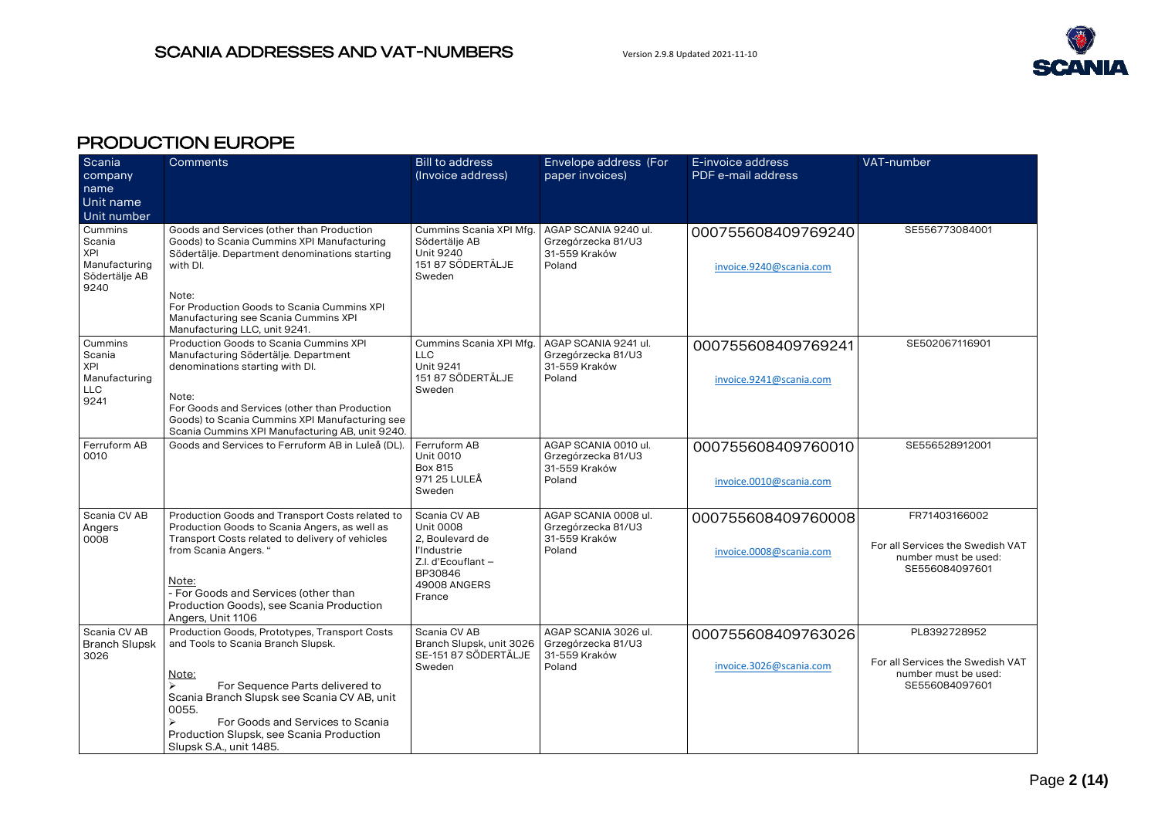

# <span id="page-1-0"></span>PRODUCTION EUROPE

| Scania<br>company<br>name<br>Unit name<br>Unit number                     | Comments                                                                                                                                                                                                                                                                                                                    | <b>Bill to address</b><br>(Invoice address)                                                                                   | Envelope address (For<br>paper invoices)                              | E-invoice address<br>PDF e-mail address       | VAT-number                                                                                  |
|---------------------------------------------------------------------------|-----------------------------------------------------------------------------------------------------------------------------------------------------------------------------------------------------------------------------------------------------------------------------------------------------------------------------|-------------------------------------------------------------------------------------------------------------------------------|-----------------------------------------------------------------------|-----------------------------------------------|---------------------------------------------------------------------------------------------|
| Cummins<br>Scania<br><b>XPI</b><br>Manufacturing<br>Södertälje AB<br>9240 | Goods and Services (other than Production<br>Goods) to Scania Cummins XPI Manufacturing<br>Södertälje. Department denominations starting<br>with DI.<br>Note:<br>For Production Goods to Scania Cummins XPI<br>Manufacturing see Scania Cummins XPI<br>Manufacturing LLC, unit 9241.                                        | Cummins Scania XPI Mfg.<br>Södertälje AB<br><b>Unit 9240</b><br>151 87 SÖDERTÄLJE<br>Sweden                                   | AGAP SCANIA 9240 ul.<br>Grzegórzecka 81/U3<br>31-559 Kraków<br>Poland | 000755608409769240<br>invoice.9240@scania.com | SE556773084001                                                                              |
| Cummins<br>Scania<br><b>XPI</b><br>Manufacturing<br><b>LLC</b><br>9241    | Production Goods to Scania Cummins XPI<br>Manufacturing Södertälje. Department<br>denominations starting with DI.<br>Note:<br>For Goods and Services (other than Production<br>Goods) to Scania Cummins XPI Manufacturing see<br>Scania Cummins XPI Manufacturing AB, unit 9240.                                            | Cummins Scania XPI Mfg.<br><b>LLC</b><br><b>Unit 9241</b><br>151 87 SÖDERTÄLJE<br>Sweden                                      | AGAP SCANIA 9241 ul.<br>Grzegórzecka 81/U3<br>31-559 Kraków<br>Poland | 000755608409769241<br>invoice.9241@scania.com | SE502067116901                                                                              |
| Ferruform AB<br>0010                                                      | Goods and Services to Ferruform AB in Luleå (DL).                                                                                                                                                                                                                                                                           | Ferruform AB<br><b>Unit 0010</b><br>Box 815<br>971 25 LULEÅ<br>Sweden                                                         | AGAP SCANIA 0010 ul.<br>Grzegórzecka 81/U3<br>31-559 Kraków<br>Poland | 000755608409760010<br>invoice.0010@scania.com | SE556528912001                                                                              |
| Scania CV AB<br>Angers<br>0008                                            | Production Goods and Transport Costs related to<br>Production Goods to Scania Angers, as well as<br>Transport Costs related to delivery of vehicles<br>from Scania Angers. "<br>Note:<br>- For Goods and Services (other than<br>Production Goods), see Scania Production<br>Angers, Unit 1106                              | Scania CV AB<br><b>Unit 0008</b><br>2, Boulevard de<br>l'Industrie<br>Z.I. d'Ecouflant -<br>BP30846<br>49008 ANGERS<br>France | AGAP SCANIA 0008 ul.<br>Grzegórzecka 81/U3<br>31-559 Kraków<br>Poland | 000755608409760008<br>invoice.0008@scania.com | FR71403166002<br>For all Services the Swedish VAT<br>number must be used:<br>SE556084097601 |
| Scania CV AB<br><b>Branch Slupsk</b><br>3026                              | Production Goods, Prototypes, Transport Costs<br>and Tools to Scania Branch Slupsk.<br>Note:<br>$\blacktriangleright$<br>For Sequence Parts delivered to<br>Scania Branch Slupsk see Scania CV AB, unit<br>0055.<br>For Goods and Services to Scania<br>Production Slupsk, see Scania Production<br>Slupsk S.A., unit 1485. | Scania CV AB<br>Branch Slupsk, unit 3026<br>SE-151 87 SÖDERTÄLJE<br>Sweden                                                    | AGAP SCANIA 3026 ul.<br>Grzegórzecka 81/U3<br>31-559 Kraków<br>Poland | 000755608409763026<br>invoice.3026@scania.com | PL8392728952<br>For all Services the Swedish VAT<br>number must be used:<br>SE556084097601  |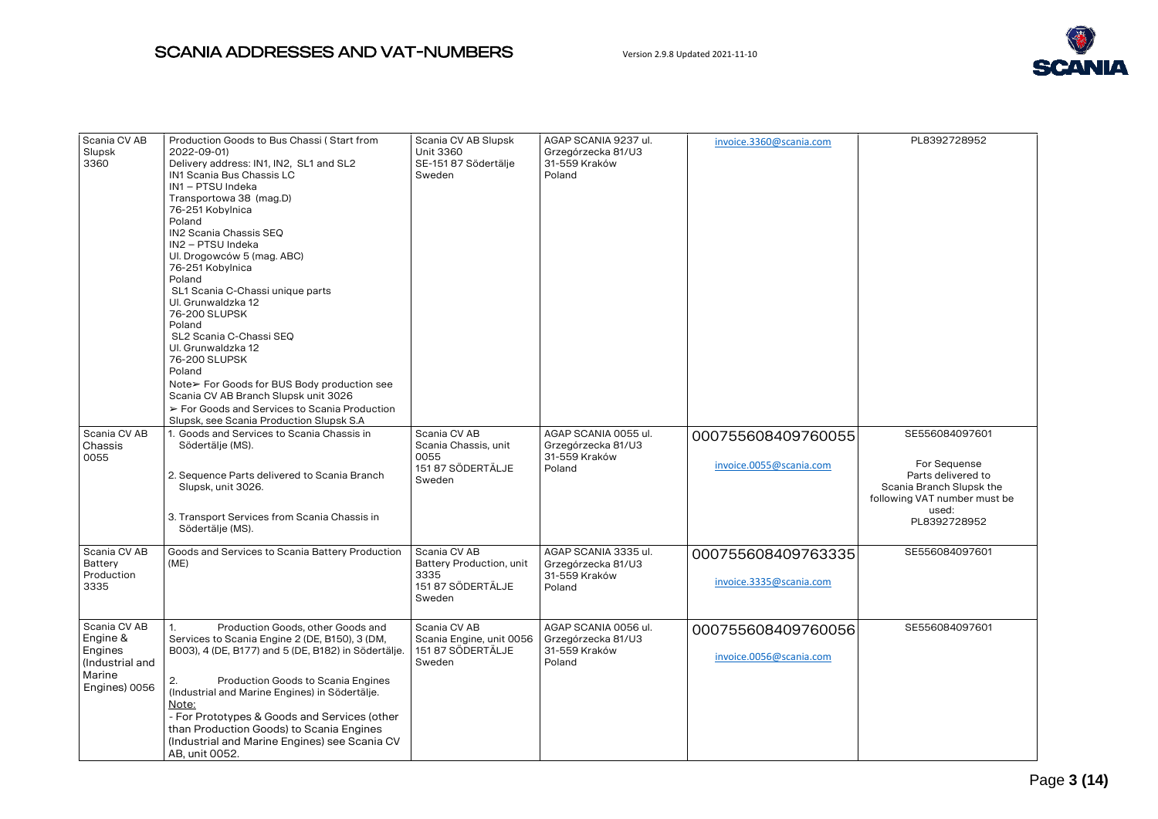

| Scania CV AB            | Production Goods to Bus Chassi (Start from              | Scania CV AB Slupsk                      | AGAP SCANIA 9237 ul.                |                         | PL8392728952                 |
|-------------------------|---------------------------------------------------------|------------------------------------------|-------------------------------------|-------------------------|------------------------------|
| Slupsk                  | 2022-09-01)                                             | <b>Unit 3360</b>                         | Grzegórzecka 81/U3                  | invoice.3360@scania.com |                              |
| 3360                    | Delivery address: IN1, IN2, SL1 and SL2                 | SE-151 87 Södertälje                     | 31-559 Kraków                       |                         |                              |
|                         | IN1 Scania Bus Chassis LC                               | Sweden                                   | Poland                              |                         |                              |
|                         | IN1 - PTSU Indeka                                       |                                          |                                     |                         |                              |
|                         | Transportowa 38 (mag.D)                                 |                                          |                                     |                         |                              |
|                         | 76-251 Kobylnica<br>Poland                              |                                          |                                     |                         |                              |
|                         | IN2 Scania Chassis SEQ                                  |                                          |                                     |                         |                              |
|                         | IN2 - PTSU Indeka                                       |                                          |                                     |                         |                              |
|                         | Ul. Drogowców 5 (mag. ABC)                              |                                          |                                     |                         |                              |
|                         | 76-251 Kobylnica                                        |                                          |                                     |                         |                              |
|                         | Poland                                                  |                                          |                                     |                         |                              |
|                         | SL1 Scania C-Chassi unique parts                        |                                          |                                     |                         |                              |
|                         | Ul. Grunwaldzka 12                                      |                                          |                                     |                         |                              |
|                         | 76-200 SLUPSK                                           |                                          |                                     |                         |                              |
|                         | Poland<br>SL2 Scania C-Chassi SEQ                       |                                          |                                     |                         |                              |
|                         | Ul. Grunwaldzka 12                                      |                                          |                                     |                         |                              |
|                         | 76-200 SLUPSK                                           |                                          |                                     |                         |                              |
|                         | Poland                                                  |                                          |                                     |                         |                              |
|                         | Note≻ For Goods for BUS Body production see             |                                          |                                     |                         |                              |
|                         | Scania CV AB Branch Slupsk unit 3026                    |                                          |                                     |                         |                              |
|                         | > For Goods and Services to Scania Production           |                                          |                                     |                         |                              |
|                         | Slupsk, see Scania Production Slupsk S.A                |                                          |                                     |                         |                              |
| Scania CV AB            | 1. Goods and Services to Scania Chassis in              | Scania CV AB                             | AGAP SCANIA 0055 ul.                | 000755608409760055      | SE556084097601               |
| Chassis                 | Södertälje (MS).                                        | Scania Chassis, unit                     | Grzegórzecka 81/U3                  |                         |                              |
| 0055                    |                                                         | 0055<br>151 87 SÖDERTÄLJE                | 31-559 Kraków<br>Poland             | invoice.0055@scania.com | For Sequense                 |
|                         | 2. Sequence Parts delivered to Scania Branch            | Sweden                                   |                                     |                         | Parts delivered to           |
|                         | Slupsk, unit 3026.                                      |                                          |                                     |                         | Scania Branch Slupsk the     |
|                         |                                                         |                                          |                                     |                         | following VAT number must be |
|                         | 3. Transport Services from Scania Chassis in            |                                          |                                     |                         | used:<br>PL8392728952        |
|                         | Södertälje (MS).                                        |                                          |                                     |                         |                              |
|                         |                                                         |                                          |                                     |                         |                              |
| Scania CV AB<br>Battery | Goods and Services to Scania Battery Production<br>(ME) | Scania CV AB<br>Battery Production, unit | AGAP SCANIA 3335 ul.                | 000755608409763335      | SE556084097601               |
| Production              |                                                         | 3335                                     | Grzegórzecka 81/U3<br>31-559 Kraków |                         |                              |
| 3335                    |                                                         | 151 87 SÖDERTÄLJE                        | Poland                              | invoice.3335@scania.com |                              |
|                         |                                                         | Sweden                                   |                                     |                         |                              |
|                         |                                                         |                                          |                                     |                         |                              |
| Scania CV AB            | 1.<br>Production Goods, other Goods and                 | Scania CV AB                             | AGAP SCANIA 0056 ul.                | 000755608409760056      | SE556084097601               |
| Engine &                | Services to Scania Engine 2 (DE, B150), 3 (DM,          | Scania Engine, unit 0056                 | Grzegórzecka 81/U3                  |                         |                              |
| Engines                 | B003), 4 (DE, B177) and 5 (DE, B182) in Södertälje.     | 151 87 SÖDERTÄLJE                        | 31-559 Kraków                       | invoice.0056@scania.com |                              |
| (Industrial and         |                                                         | Sweden                                   | Poland                              |                         |                              |
| Marine                  | Production Goods to Scania Engines<br>2.                |                                          |                                     |                         |                              |
| Engines) 0056           | (Industrial and Marine Engines) in Södertälje.          |                                          |                                     |                         |                              |
|                         | Note:                                                   |                                          |                                     |                         |                              |
|                         | - For Prototypes & Goods and Services (other            |                                          |                                     |                         |                              |
|                         | than Production Goods) to Scania Engines                |                                          |                                     |                         |                              |
|                         | (Industrial and Marine Engines) see Scania CV           |                                          |                                     |                         |                              |
|                         | AB. unit 0052.                                          |                                          |                                     |                         |                              |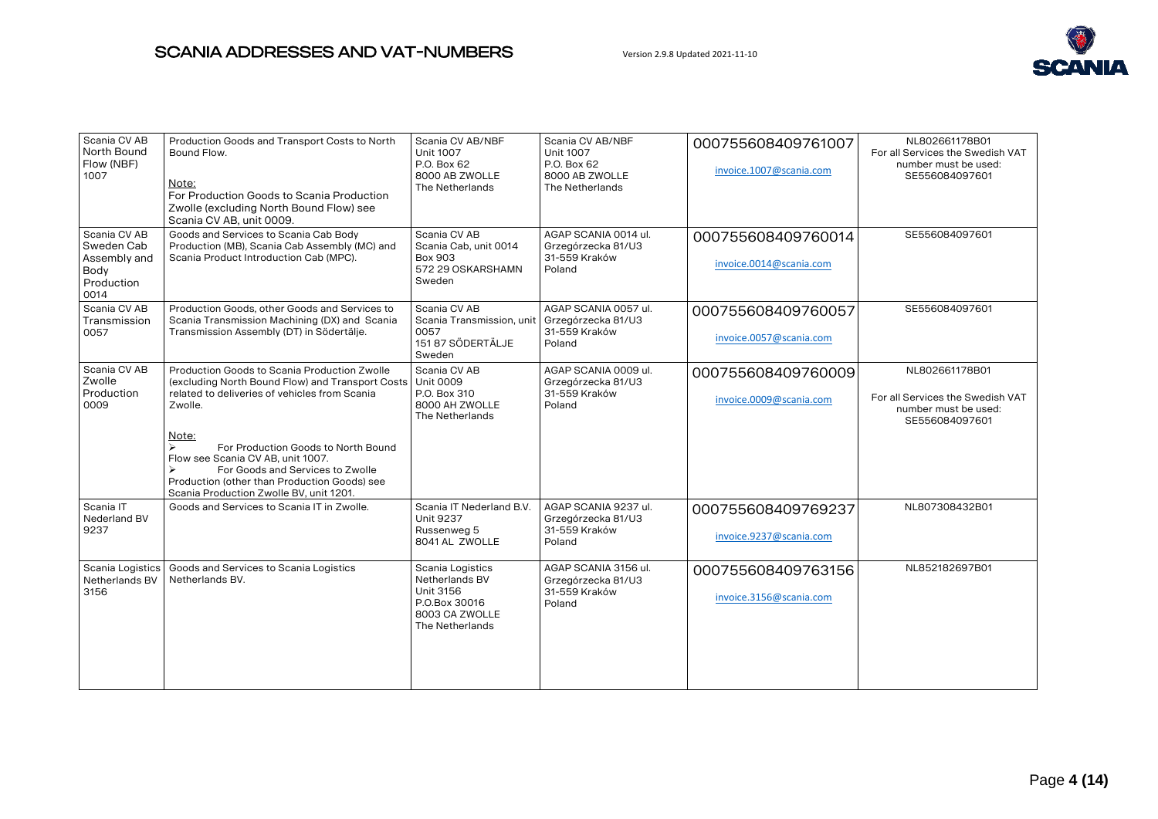

| Scania CV AB<br>North Bound<br>Flow (NBF)<br>1007                        | Production Goods and Transport Costs to North<br>Bound Flow.<br>Note:<br>For Production Goods to Scania Production<br>Zwolle (excluding North Bound Flow) see<br>Scania CV AB, unit 0009.                                                                                                                                                                                        | Scania CV AB/NBF<br><b>Unit 1007</b><br>P.O. Box 62<br>8000 AB ZWOLLE<br>The Netherlands              | Scania CV AB/NBF<br><b>Unit 1007</b><br>P.O. Box 62<br>8000 AB ZWOLLE<br>The Netherlands | 000755608409761007<br>invoice.1007@scania.com | NL802661178B01<br>For all Services the Swedish VAT<br>number must be used:<br>SE556084097601 |
|--------------------------------------------------------------------------|----------------------------------------------------------------------------------------------------------------------------------------------------------------------------------------------------------------------------------------------------------------------------------------------------------------------------------------------------------------------------------|-------------------------------------------------------------------------------------------------------|------------------------------------------------------------------------------------------|-----------------------------------------------|----------------------------------------------------------------------------------------------|
| Scania CV AB<br>Sweden Cab<br>Assembly and<br>Body<br>Production<br>0014 | Goods and Services to Scania Cab Body<br>Production (MB), Scania Cab Assembly (MC) and<br>Scania Product Introduction Cab (MPC).                                                                                                                                                                                                                                                 | Scania CV AB<br>Scania Cab, unit 0014<br><b>Box 903</b><br>572 29 OSKARSHAMN<br>Sweden                | AGAP SCANIA 0014 ul.<br>Grzegórzecka 81/U3<br>31-559 Kraków<br>Poland                    | 000755608409760014<br>invoice.0014@scania.com | SE556084097601                                                                               |
| Scania CV AB<br>Transmission<br>0057                                     | Production Goods, other Goods and Services to<br>Scania Transmission Machining (DX) and Scania<br>Transmission Assembly (DT) in Södertälje.                                                                                                                                                                                                                                      | Scania CV AB<br>Scania Transmission, unit<br>0057<br>151 87 SÖDERTÄLJE<br>Sweden                      | AGAP SCANIA 0057 ul.<br>Grzegórzecka 81/U3<br>31-559 Kraków<br>Poland                    | 000755608409760057<br>invoice.0057@scania.com | SE556084097601                                                                               |
| Scania CV AB<br>Zwolle<br>Production<br>0009                             | Production Goods to Scania Production Zwolle<br>(excluding North Bound Flow) and Transport Costs<br>related to deliveries of vehicles from Scania<br>Zwolle.<br>Note:<br>For Production Goods to North Bound<br>Flow see Scania CV AB, unit 1007.<br>For Goods and Services to Zwolle<br>Production (other than Production Goods) see<br>Scania Production Zwolle BV, unit 1201. | Scania CV AB<br><b>Unit 0009</b><br>P.O. Box 310<br>8000 AH ZWOLLE<br>The Netherlands                 | AGAP SCANIA 0009 ul.<br>Grzegórzecka 81/U3<br>31-559 Kraków<br>Poland                    | 000755608409760009<br>invoice.0009@scania.com | NL802661178B01<br>For all Services the Swedish VAT<br>number must be used:<br>SE556084097601 |
| Scania IT<br>Nederland BV<br>9237                                        | Goods and Services to Scania IT in Zwolle.                                                                                                                                                                                                                                                                                                                                       | Scania IT Nederland B.V.<br><b>Unit 9237</b><br>Russenweg 5<br>8041 AL ZWOLLE                         | AGAP SCANIA 9237 ul.<br>Grzegórzecka 81/U3<br>31-559 Kraków<br>Poland                    | 000755608409769237<br>invoice.9237@scania.com | NL807308432B01                                                                               |
| Scania Logistics<br>Netherlands BV<br>3156                               | Goods and Services to Scania Logistics<br>Netherlands BV.                                                                                                                                                                                                                                                                                                                        | Scania Logistics<br>Netherlands BV<br>Unit 3156<br>P.O.Box 30016<br>8003 CA ZWOLLE<br>The Netherlands | AGAP SCANIA 3156 ul.<br>Grzegórzecka 81/U3<br>31-559 Kraków<br>Poland                    | 000755608409763156<br>invoice.3156@scania.com | NL852182697B01                                                                               |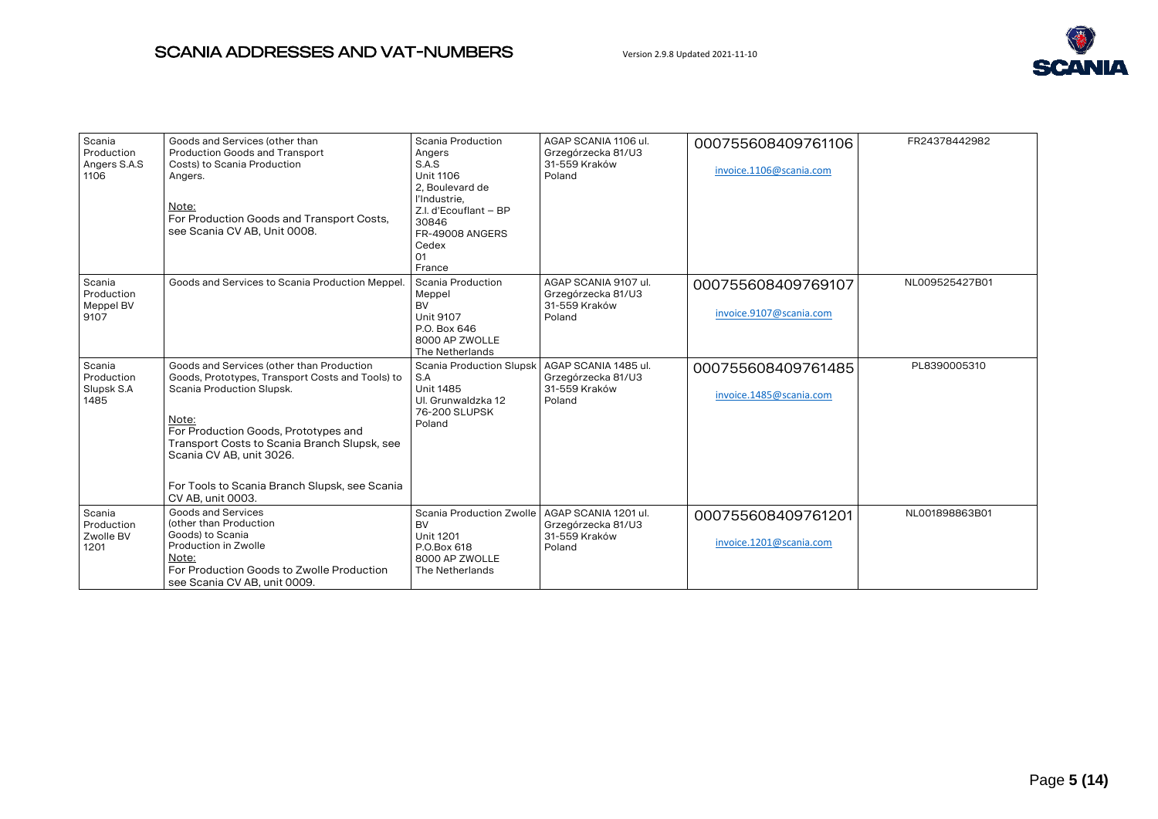

| Scania<br>Production<br>Angers S.A.S<br>1106 | Goods and Services (other than<br><b>Production Goods and Transport</b><br>Costs) to Scania Production<br>Angers.<br>Note:<br>For Production Goods and Transport Costs,<br>see Scania CV AB, Unit 0008.                                                                                                                       | Scania Production<br>Angers<br>S.A.S<br>Unit 1106<br>2. Boulevard de<br>l'Industrie.<br>Z.I. d'Ecouflant - BP<br>30846<br>FR-49008 ANGERS<br>Cedex<br>01<br>France | AGAP SCANIA 1106 ul.<br>Grzegórzecka 81/U3<br>31-559 Kraków<br>Poland | 000755608409761106<br>invoice.1106@scania.com | FR24378442982  |
|----------------------------------------------|-------------------------------------------------------------------------------------------------------------------------------------------------------------------------------------------------------------------------------------------------------------------------------------------------------------------------------|--------------------------------------------------------------------------------------------------------------------------------------------------------------------|-----------------------------------------------------------------------|-----------------------------------------------|----------------|
| Scania<br>Production<br>Meppel BV<br>9107    | Goods and Services to Scania Production Meppel.                                                                                                                                                                                                                                                                               | <b>Scania Production</b><br>Meppel<br><b>BV</b><br><b>Unit 9107</b><br>P.O. Box 646<br>8000 AP ZWOLLE<br>The Netherlands                                           | AGAP SCANIA 9107 ul.<br>Grzegórzecka 81/U3<br>31-559 Kraków<br>Poland | 000755608409769107<br>invoice.9107@scania.com | NL009525427B01 |
| Scania<br>Production<br>Slupsk S.A<br>1485   | Goods and Services (other than Production<br>Goods, Prototypes, Transport Costs and Tools) to<br>Scania Production Slupsk.<br>Note:<br>For Production Goods, Prototypes and<br>Transport Costs to Scania Branch Slupsk, see<br>Scania CV AB, unit 3026.<br>For Tools to Scania Branch Slupsk, see Scania<br>CV AB, unit 0003. | <b>Scania Production Slupsk</b><br>S.A<br><b>Unit 1485</b><br>Ul. Grunwaldzka 12<br>76-200 SLUPSK<br>Poland                                                        | AGAP SCANIA 1485 ul.<br>Grzegórzecka 81/U3<br>31-559 Kraków<br>Poland | 000755608409761485<br>invoice.1485@scania.com | PL8390005310   |
| Scania<br>Production<br>Zwolle BV<br>1201    | Goods and Services<br>(other than Production<br>Goods) to Scania<br>Production in Zwolle<br>Note:<br>For Production Goods to Zwolle Production<br>see Scania CV AB, unit 0009.                                                                                                                                                | Scania Production Zwolle<br><b>BV</b><br><b>Unit 1201</b><br>P.O.Box 618<br>8000 AP ZWOLLE<br>The Netherlands                                                      | AGAP SCANIA 1201 ul.<br>Grzegórzecka 81/U3<br>31-559 Kraków<br>Poland | 000755608409761201<br>invoice.1201@scania.com | NL001898863B01 |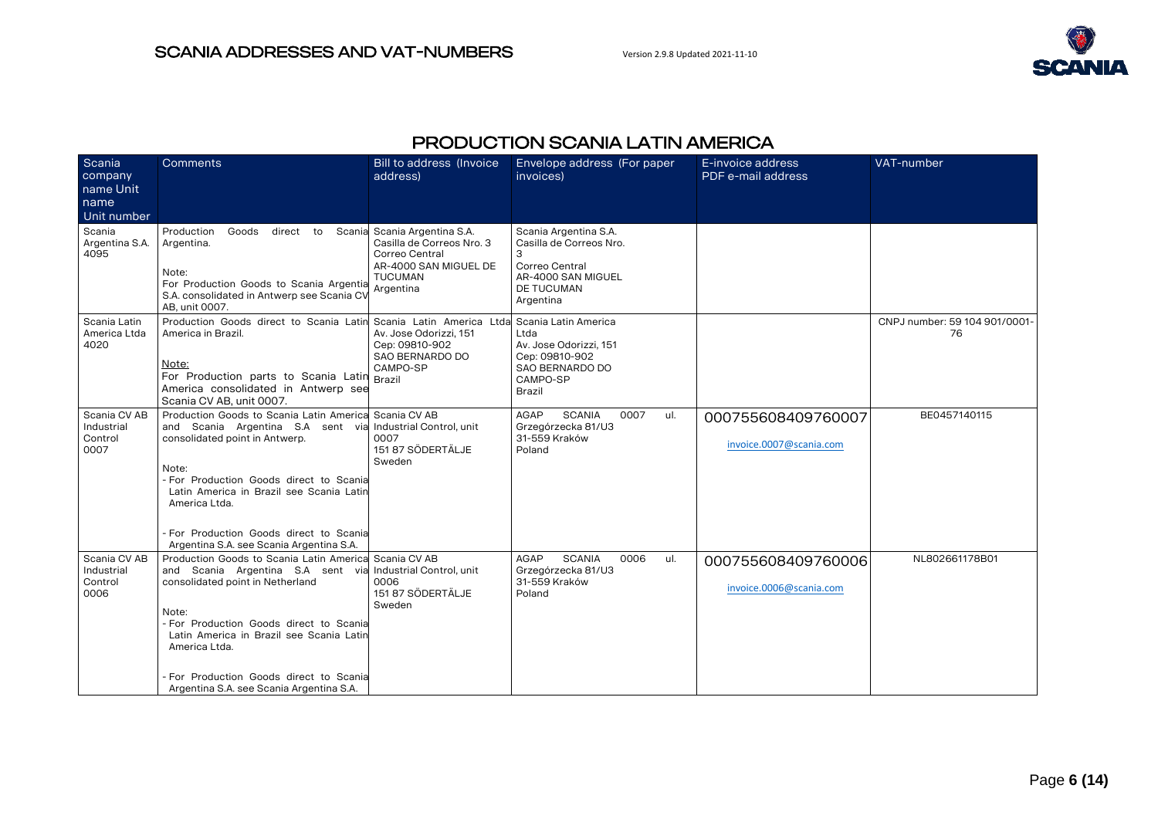

# PRODUCTION SCANIA LATIN AMERICA

<span id="page-5-0"></span>

| Scania<br>company<br>name Unit                | Comments                                                                                                                                                                                                                                                                                                                                                        | Bill to address (Invoice<br>address)                                                                                                | Envelope address (For paper<br>invoices)                                                                                        | E-invoice address<br>PDF e-mail address       | VAT-number                          |
|-----------------------------------------------|-----------------------------------------------------------------------------------------------------------------------------------------------------------------------------------------------------------------------------------------------------------------------------------------------------------------------------------------------------------------|-------------------------------------------------------------------------------------------------------------------------------------|---------------------------------------------------------------------------------------------------------------------------------|-----------------------------------------------|-------------------------------------|
| name<br>Unit number                           |                                                                                                                                                                                                                                                                                                                                                                 |                                                                                                                                     |                                                                                                                                 |                                               |                                     |
| Scania<br>Argentina S.A.<br>4095              | Production<br>Goods<br>direct to<br>Argentina.<br>Note:<br>For Production Goods to Scania Argentia<br>S.A. consolidated in Antwerp see Scania CV<br>AB, unit 0007.                                                                                                                                                                                              | Scania Scania Argentina S.A.<br>Casilla de Correos Nro. 3<br>Correo Central<br>AR-4000 SAN MIGUEL DE<br><b>TUCUMAN</b><br>Argentina | Scania Argentina S.A.<br>Casilla de Correos Nro.<br>З<br>Correo Central<br>AR-4000 SAN MIGUEL<br><b>DE TUCUMAN</b><br>Argentina |                                               |                                     |
| Scania Latin<br>America Ltda<br>4020          | Production Goods direct to Scania Latin Scania Latin America Ltda Scania Latin America<br>America in Brazil.<br>Note:<br>For Production parts to Scania Latin Brazil<br>America consolidated in Antwerp see<br>Scania CV AB, unit 0007.                                                                                                                         | Av. Jose Odorizzi, 151<br>Cep: 09810-902<br>SAO BERNARDO DO<br>CAMPO-SP                                                             | Ltda<br>Av. Jose Odorizzi, 151<br>Cep: 09810-902<br>SAO BERNARDO DO<br>CAMPO-SP<br><b>Brazil</b>                                |                                               | CNPJ number: 59 104 901/0001-<br>76 |
| Scania CV AB<br>Industrial<br>Control<br>0007 | Production Goods to Scania Latin Americal Scania CV AB<br>and Scania Argentina S.A sent via Industrial Control, unit<br>consolidated point in Antwerp.<br>Note:<br>- For Production Goods direct to Scania<br>Latin America in Brazil see Scania Latin<br>America Ltda.<br>- For Production Goods direct to Scanial<br>Argentina S.A. see Scania Argentina S.A. | 0007<br>151 87 SÖDERTÄLJE<br>Sweden                                                                                                 | <b>SCANIA</b><br>0007<br>AGAP<br>ul.<br>Grzegórzecka 81/U3<br>31-559 Kraków<br>Poland                                           | 000755608409760007<br>invoice.0007@scania.com | BE0457140115                        |
| Scania CV AB<br>Industrial<br>Control<br>0006 | Production Goods to Scania Latin Americal Scania CV AB<br>and Scania Argentina S.A sent via Industrial Control, unit<br>consolidated point in Netherland<br>Note:<br>For Production Goods direct to Scania<br>Latin America in Brazil see Scania Latin<br>America Ltda.<br>For Production Goods direct to Scania<br>Argentina S.A. see Scania Argentina S.A.    | 0006<br>151 87 SÖDERTÄLJE<br>Sweden                                                                                                 | AGAP<br><b>SCANIA</b><br>0006<br>ul.<br>Grzegórzecka 81/U3<br>31-559 Kraków<br>Poland                                           | 000755608409760006<br>invoice.0006@scania.com | NL802661178B01                      |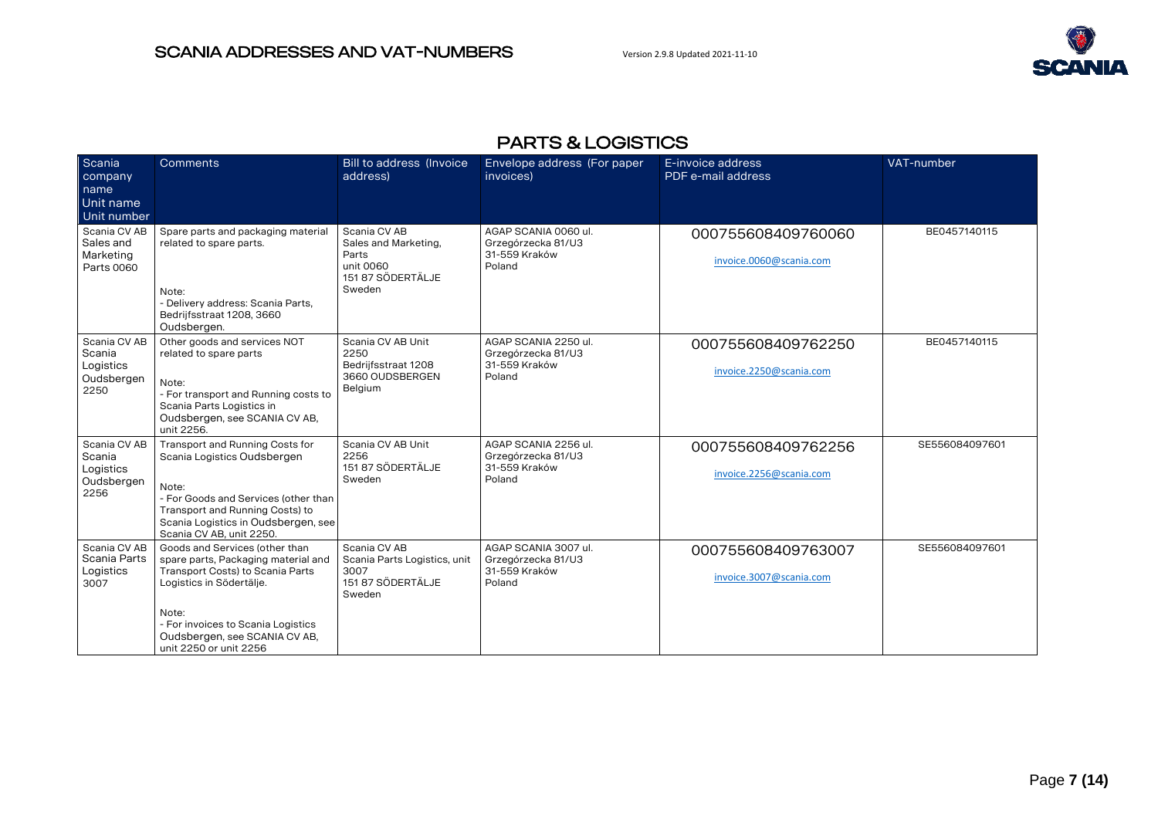

# PARTS & LOGISTICS

<span id="page-6-0"></span>

| Scania<br>company<br>name<br>Unit name<br>Unit number     | Comments                                                                                                                                                                                                                                        | Bill to address (Invoice<br>address)                                                      | Envelope address (For paper<br>invoices)                              | E-invoice address<br>PDF e-mail address       | VAT-number     |
|-----------------------------------------------------------|-------------------------------------------------------------------------------------------------------------------------------------------------------------------------------------------------------------------------------------------------|-------------------------------------------------------------------------------------------|-----------------------------------------------------------------------|-----------------------------------------------|----------------|
| Scania CV AB<br>Sales and<br>Marketing<br>Parts 0060      | Spare parts and packaging material<br>related to spare parts.<br>Note:<br>- Delivery address: Scania Parts,<br>Bedrijfsstraat 1208, 3660<br>Oudsbergen.                                                                                         | Scania CV AB<br>Sales and Marketing,<br>Parts<br>unit 0060<br>151 87 SÖDERTÄLJE<br>Sweden | AGAP SCANIA 0060 ul.<br>Grzegórzecka 81/U3<br>31-559 Kraków<br>Poland | 000755608409760060<br>invoice.0060@scania.com | BE0457140115   |
| Scania CV AB<br>Scania<br>Logistics<br>Oudsbergen<br>2250 | Other goods and services NOT<br>related to spare parts<br>Note:<br>- For transport and Running costs to<br>Scania Parts Logistics in<br>Oudsbergen, see SCANIA CV AB,<br>unit 2256.                                                             | Scania CV AB Unit<br>2250<br>Bedrijfsstraat 1208<br>3660 OUDSBERGEN<br>Belgium            | AGAP SCANIA 2250 ul.<br>Grzegórzecka 81/U3<br>31-559 Kraków<br>Poland | 000755608409762250<br>invoice.2250@scania.com | BE0457140115   |
| Scania CV AB<br>Scania<br>Logistics<br>Oudsbergen<br>2256 | Transport and Running Costs for<br>Scania Logistics Oudsbergen<br>Note:<br>- For Goods and Services (other than<br>Transport and Running Costs) to<br>Scania Logistics in Oudsbergen, see<br>Scania CV AB, unit 2250.                           | Scania CV AB Unit<br>2256<br>151 87 SÖDERTÄLJE<br>Sweden                                  | AGAP SCANIA 2256 ul.<br>Grzegórzecka 81/U3<br>31-559 Kraków<br>Poland | 000755608409762256<br>invoice.2256@scania.com | SE556084097601 |
| Scania CV AB<br>Scania Parts<br>Logistics<br>3007         | Goods and Services (other than<br>spare parts, Packaging material and<br>Transport Costs) to Scania Parts<br>Logistics in Södertälje.<br>Note:<br>- For invoices to Scania Logistics<br>Oudsbergen, see SCANIA CV AB,<br>unit 2250 or unit 2256 | Scania CV AB<br>Scania Parts Logistics, unit<br>3007<br>151 87 SÖDERTÄLJE<br>Sweden       | AGAP SCANIA 3007 ul.<br>Grzegórzecka 81/U3<br>31-559 Kraków<br>Poland | 000755608409763007<br>invoice.3007@scania.com | SE556084097601 |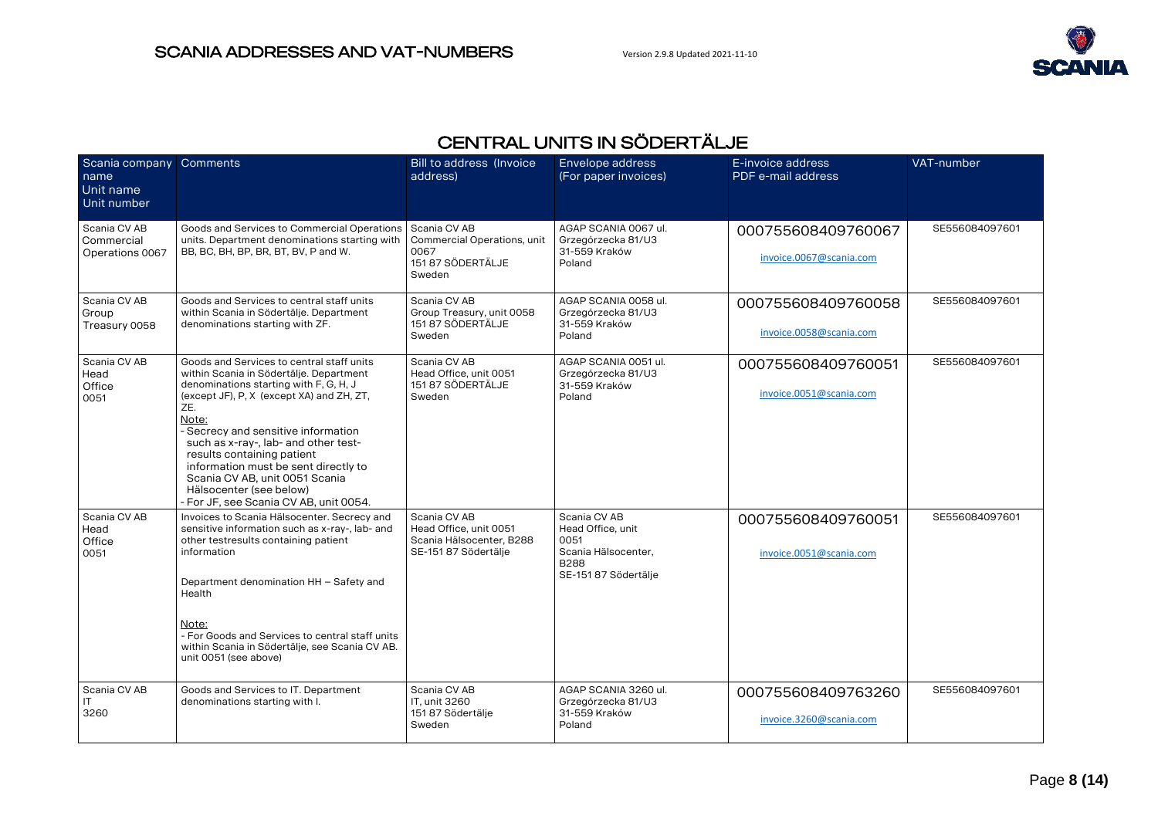

# CENTRAL UNITS IN SÖDERTÄLJE

<span id="page-7-0"></span>

| Scania company Comments<br>name<br>Unit name<br>Unit number |                                                                                                                                                                                                                                                                                                                                                                                                                                                         | <b>Bill to address (Invoice</b><br>address)                                                | Envelope address<br>(For paper invoices)                                                                | E-invoice address<br>PDF e-mail address       | VAT-number     |
|-------------------------------------------------------------|---------------------------------------------------------------------------------------------------------------------------------------------------------------------------------------------------------------------------------------------------------------------------------------------------------------------------------------------------------------------------------------------------------------------------------------------------------|--------------------------------------------------------------------------------------------|---------------------------------------------------------------------------------------------------------|-----------------------------------------------|----------------|
| Scania CV AB<br>Commercial<br>Operations 0067               | Goods and Services to Commercial Operations<br>units. Department denominations starting with<br>BB, BC, BH, BP, BR, BT, BV, P and W.                                                                                                                                                                                                                                                                                                                    | Scania CV AB<br>Commercial Operations, unit<br>0067<br>151 87 SÖDERTÄLJE<br>Sweden         | AGAP SCANIA 0067 ul.<br>Grzegórzecka 81/U3<br>31-559 Kraków<br>Poland                                   | 000755608409760067<br>invoice.0067@scania.com | SE556084097601 |
| Scania CV AB<br>Group<br>Treasury 0058                      | Goods and Services to central staff units<br>within Scania in Södertälje. Department<br>denominations starting with ZF.                                                                                                                                                                                                                                                                                                                                 | Scania CV AB<br>Group Treasury, unit 0058<br>151 87 SÖDERTÄLJE<br>Sweden                   | AGAP SCANIA 0058 ul.<br>Grzegórzecka 81/U3<br>31-559 Kraków<br>Poland                                   | 000755608409760058<br>invoice.0058@scania.com | SE556084097601 |
| Scania CV AB<br>Head<br>Office<br>0051                      | Goods and Services to central staff units<br>within Scania in Södertälje. Department<br>denominations starting with F, G, H, J<br>(except JF), P, X (except XA) and ZH, ZT,<br>ZE.<br>Note:<br>- Secrecy and sensitive information<br>such as x-ray-, lab- and other test-<br>results containing patient<br>information must be sent directly to<br>Scania CV AB, unit 0051 Scania<br>Hälsocenter (see below)<br>- For JF, see Scania CV AB, unit 0054. | Scania CV AB<br>Head Office, unit 0051<br>151 87 SÖDERTÄLJE<br>Sweden                      | AGAP SCANIA 0051 ul.<br>Grzegórzecka 81/U3<br>31-559 Kraków<br>Poland                                   | 000755608409760051<br>invoice.0051@scania.com | SE556084097601 |
| Scania CV AB<br>Head<br>Office<br>0051                      | Invoices to Scania Hälsocenter. Secrecy and<br>sensitive information such as x-ray-, lab- and<br>other testresults containing patient<br>information<br>Department denomination HH - Safety and<br>Health<br>Note:<br>- For Goods and Services to central staff units<br>within Scania in Södertälje, see Scania CV AB.<br>unit 0051 (see above)                                                                                                        | Scania CV AB<br>Head Office, unit 0051<br>Scania Hälsocenter, B288<br>SE-151 87 Södertälje | Scania CV AB<br>Head Office, unit<br>0051<br>Scania Hälsocenter,<br><b>B288</b><br>SE-151 87 Södertälie | 000755608409760051<br>invoice.0051@scania.com | SE556084097601 |
| Scania CV AB<br>IT.<br>3260                                 | Goods and Services to IT. Department<br>denominations starting with I.                                                                                                                                                                                                                                                                                                                                                                                  | Scania CV AB<br>IT, unit 3260<br>151 87 Södertälje<br>Sweden                               | AGAP SCANIA 3260 ul.<br>Grzegórzecka 81/U3<br>31-559 Kraków<br>Poland                                   | 000755608409763260<br>invoice.3260@scania.com | SE556084097601 |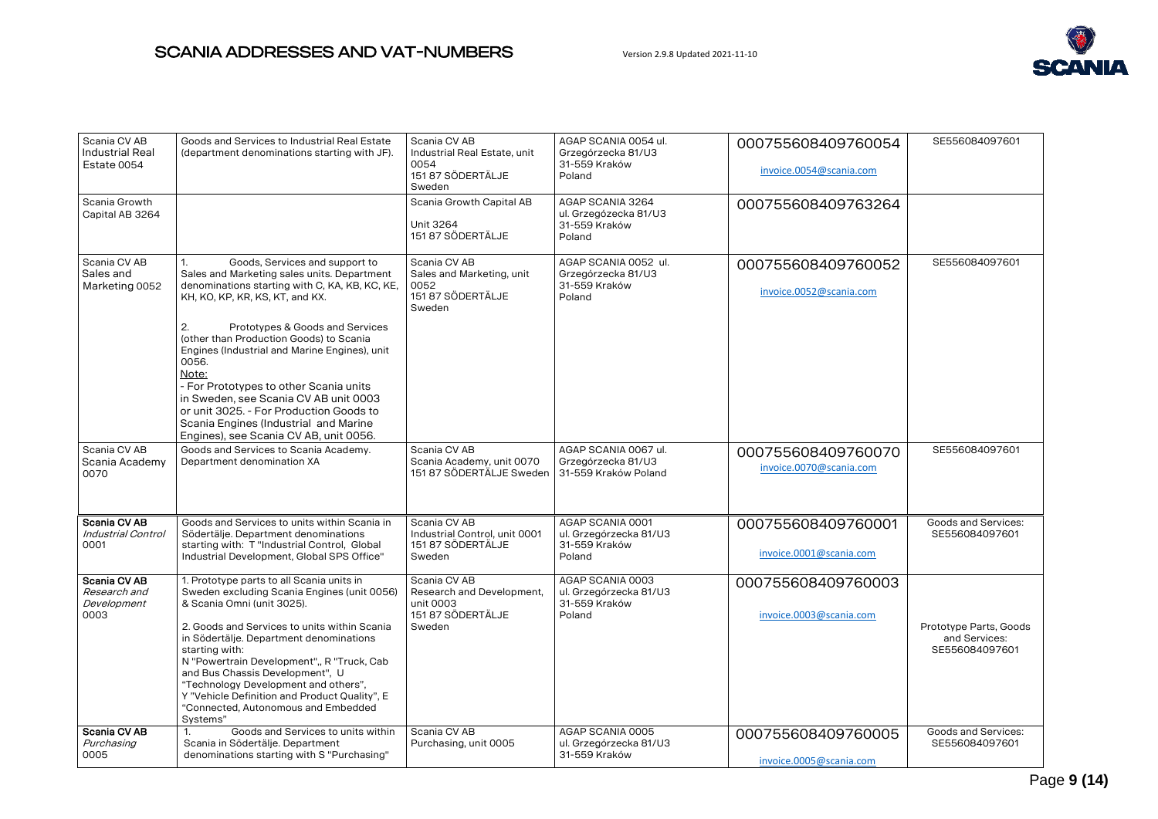

| Scania CV AB<br><b>Industrial Real</b><br>Estate 0054 | Goods and Services to Industrial Real Estate<br>(department denominations starting with JF).                                                                                                                                                                                                                                                                                                                                                                                                                                                     | Scania CV AB<br>Industrial Real Estate, unit<br>0054<br>151 87 SÖDERTÄLJE<br>Sweden   | AGAP SCANIA 0054 ul.<br>Grzegórzecka 81/U3<br>31-559 Kraków<br>Poland | 000755608409760054<br>invoice.0054@scania.com | SE556084097601                                            |
|-------------------------------------------------------|--------------------------------------------------------------------------------------------------------------------------------------------------------------------------------------------------------------------------------------------------------------------------------------------------------------------------------------------------------------------------------------------------------------------------------------------------------------------------------------------------------------------------------------------------|---------------------------------------------------------------------------------------|-----------------------------------------------------------------------|-----------------------------------------------|-----------------------------------------------------------|
| Scania Growth<br>Capital AB 3264                      |                                                                                                                                                                                                                                                                                                                                                                                                                                                                                                                                                  | Scania Growth Capital AB<br>Unit 3264<br>151 87 SÖDERTÄLJE                            | AGAP SCANIA 3264<br>ul. Grzegózecka 81/U3<br>31-559 Kraków<br>Poland  | 000755608409763264                            |                                                           |
| Scania CV AB<br>Sales and<br>Marketing 0052           | Goods, Services and support to<br>1.<br>Sales and Marketing sales units. Department<br>denominations starting with C, KA, KB, KC, KE,<br>KH, KO, KP, KR, KS, KT, and KX.<br>2.<br>Prototypes & Goods and Services<br>(other than Production Goods) to Scania<br>Engines (Industrial and Marine Engines), unit<br>0056.<br>Note:<br>- For Prototypes to other Scania units<br>in Sweden, see Scania CV AB unit 0003<br>or unit 3025. - For Production Goods to<br>Scania Engines (Industrial and Marine<br>Engines), see Scania CV AB, unit 0056. | Scania CV AB<br>Sales and Marketing, unit<br>0052<br>151 87 SÖDERTÄLJE<br>Sweden      | AGAP SCANIA 0052 ul.<br>Grzegórzecka 81/U3<br>31-559 Kraków<br>Poland | 000755608409760052<br>invoice.0052@scania.com | SE556084097601                                            |
| Scania CV AB<br>Scania Academy<br>0070                | Goods and Services to Scania Academy.<br>Department denomination XA                                                                                                                                                                                                                                                                                                                                                                                                                                                                              | Scania CV AB<br>Scania Academy, unit 0070<br>151 87 SÖDERTÄLJE Sweden                 | AGAP SCANIA 0067 ul.<br>Grzegórzecka 81/U3<br>31-559 Kraków Poland    | 000755608409760070<br>invoice.0070@scania.com | SE556084097601                                            |
| Scania CV AB<br>Industrial Control<br>0001            | Goods and Services to units within Scania in<br>Södertälje. Department denominations<br>starting with: T "Industrial Control, Global<br>Industrial Development, Global SPS Office"                                                                                                                                                                                                                                                                                                                                                               | Scania CV AB<br>Industrial Control, unit 0001<br>151 87 SÖDERTÄLJE<br>Sweden          | AGAP SCANIA 0001<br>ul. Grzegórzecka 81/U3<br>31-559 Kraków<br>Poland | 000755608409760001<br>invoice.0001@scania.com | Goods and Services:<br>SE556084097601                     |
| Scania CV AB<br>Research and<br>Development<br>0003   | 1. Prototype parts to all Scania units in<br>Sweden excluding Scania Engines (unit 0056)<br>& Scania Omni (unit 3025).<br>2. Goods and Services to units within Scania<br>in Södertälje. Department denominations<br>starting with:<br>N "Powertrain Development", R "Truck, Cab<br>and Bus Chassis Development", U<br>"Technology Development and others",<br>Y "Vehicle Definition and Product Quality", E<br>"Connected, Autonomous and Embedded<br>Systems"                                                                                  | Scania CV AB<br>Research and Development,<br>unit 0003<br>151 87 SÖDERTÄLJE<br>Sweden | AGAP SCANIA 0003<br>ul. Grzegórzecka 81/U3<br>31-559 Kraków<br>Poland | 000755608409760003<br>invoice.0003@scania.com | Prototype Parts, Goods<br>and Services:<br>SE556084097601 |
| Scania CV AB<br>Purchasing<br>0005                    | Goods and Services to units within<br>Scania in Södertälje. Department<br>denominations starting with S "Purchasing"                                                                                                                                                                                                                                                                                                                                                                                                                             | Scania CV AB<br>Purchasing, unit 0005                                                 | AGAP SCANIA 0005<br>ul. Grzegórzecka 81/U3<br>31-559 Kraków           | 000755608409760005<br>invoice.0005@scania.com | Goods and Services:<br>SE556084097601                     |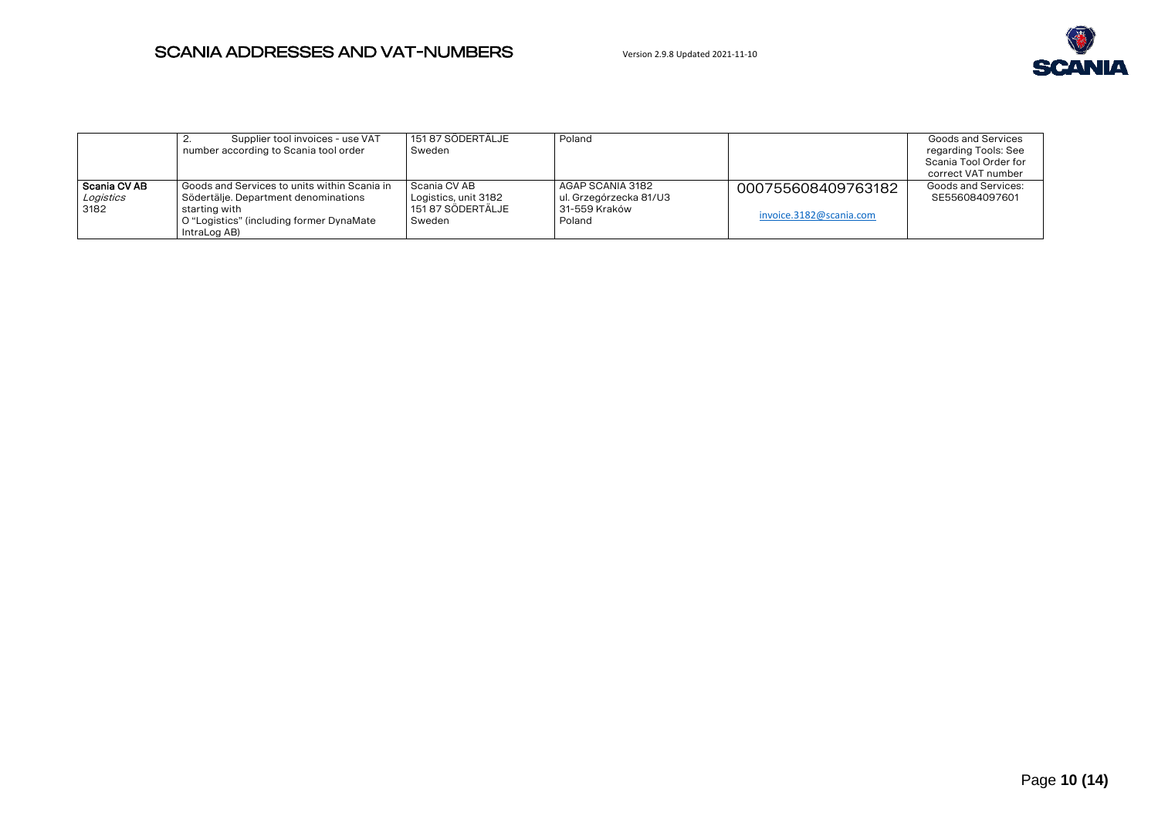

|                                     | Supplier tool invoices - use VAT<br><u>.</u><br>number according to Scania tool order                                                                                 | 151 87 SÖDERTÄLJE<br>Sweden                                         | Poland                                                                |                                               | Goods and Services<br>regarding Tools: See<br>Scania Tool Order for<br>correct VAT number |
|-------------------------------------|-----------------------------------------------------------------------------------------------------------------------------------------------------------------------|---------------------------------------------------------------------|-----------------------------------------------------------------------|-----------------------------------------------|-------------------------------------------------------------------------------------------|
| l Scania CV AB<br>Logistics<br>3182 | l Goods and Services to units within Scania in I<br>Södertälje. Department denominations<br>starting with<br>O "Logistics" (including former DynaMate<br>IntraLog AB) | Scania CV AB<br>Logistics, unit 3182<br>151 87 SÖDERTÄLJE<br>Sweden | AGAP SCANIA 3182<br>ul. Grzegórzecka 81/U3<br>31-559 Kraków<br>Poland | 000755608409763182<br>invoice.3182@scania.com | Goods and Services:<br>SE556084097601                                                     |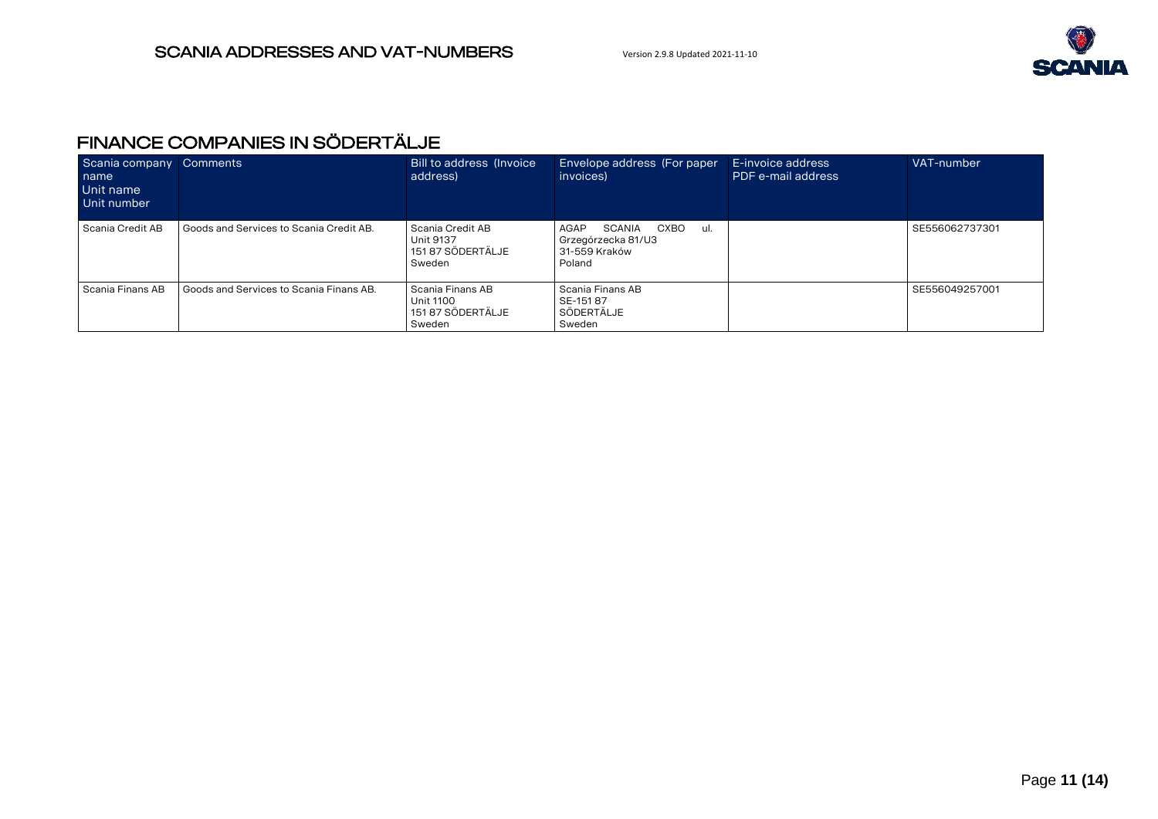

# <span id="page-10-0"></span>FINANCE COMPANIES IN SÖDERTÄLJE

| Scania company<br>name<br>Unit name<br>Unit number | <b>Comments</b>                         | Bill to address (Invoice<br>address)                         | Envelope address (For paper<br>invoices)                                        | E-invoice address<br>PDF e-mail address | VAT-number     |
|----------------------------------------------------|-----------------------------------------|--------------------------------------------------------------|---------------------------------------------------------------------------------|-----------------------------------------|----------------|
| Scania Credit AB                                   | Goods and Services to Scania Credit AB. | Scania Credit AB<br>Unit 9137<br>151 87 SÖDERTÄLJE<br>Sweden | SCANIA<br>CXBO<br>AGAP<br>-ul.<br>Grzegórzecka 81/U3<br>31-559 Kraków<br>Poland |                                         | SE556062737301 |
| Scania Finans AB                                   | Goods and Services to Scania Finans AB. | Scania Finans AB<br>Unit 1100<br>151 87 SÖDERTÄLJE<br>Sweden | Scania Finans AB<br>SE-15187<br>SÖDERTÄLJE<br>Sweden                            |                                         | SE556049257001 |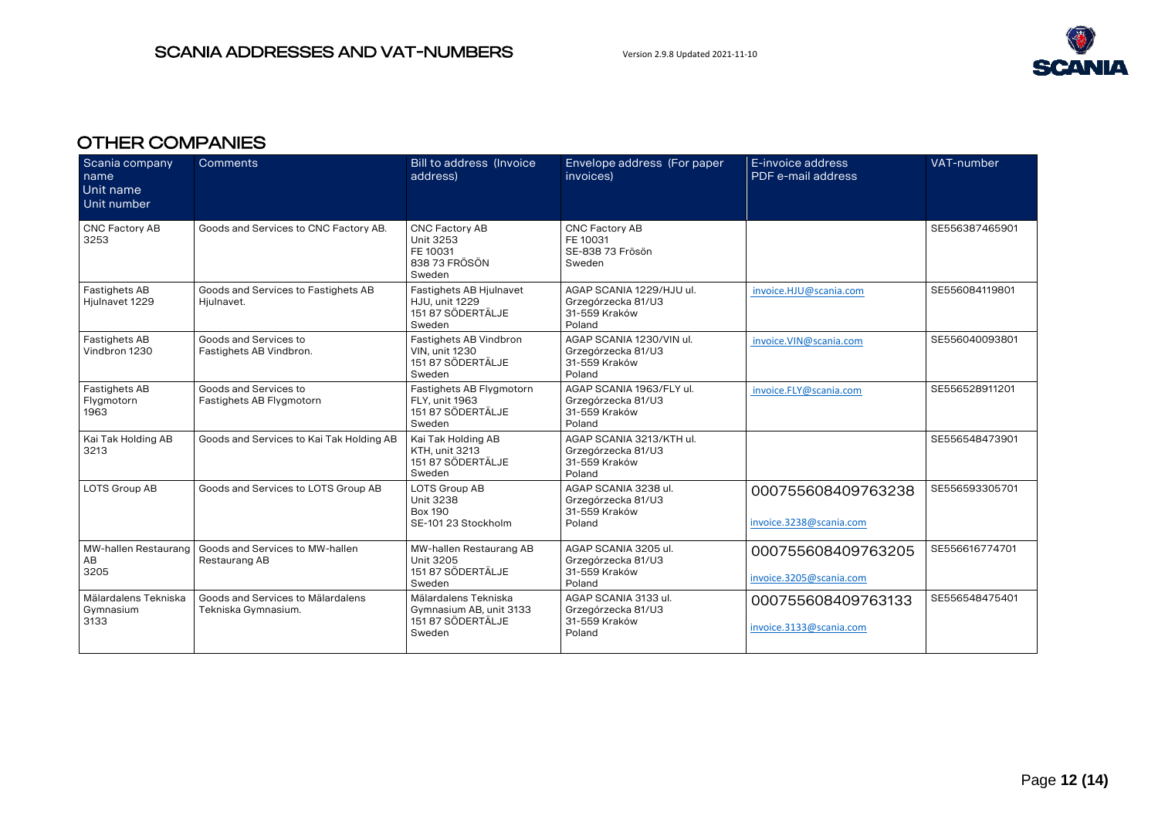

# <span id="page-11-0"></span>OTHER COMPANIES

| Scania company<br>name<br>Unit name<br>Unit number | Comments                                                 | <b>Bill to address (Invoice)</b><br>address)                                    | Envelope address (For paper<br>invoices)                                  | E-invoice address<br>PDF e-mail address       | VAT-number     |
|----------------------------------------------------|----------------------------------------------------------|---------------------------------------------------------------------------------|---------------------------------------------------------------------------|-----------------------------------------------|----------------|
| <b>CNC Factory AB</b><br>3253                      | Goods and Services to CNC Factory AB.                    | CNC Factory AB<br>Unit 3253<br>FE 10031<br>838 73 FRÖSÖN<br>Sweden              | <b>CNC Factory AB</b><br>FE 10031<br>SE-838 73 Frösön<br>Sweden           |                                               | SE556387465901 |
| Fastighets AB<br>Hjulnavet 1229                    | Goods and Services to Fastighets AB<br>Hjulnavet.        | Fastighets AB Hjulnavet<br><b>HJU. unit 1229</b><br>151 87 SÖDERTÄLJE<br>Sweden | AGAP SCANIA 1229/HJU ul.<br>Grzegórzecka 81/U3<br>31-559 Kraków<br>Poland | invoice.HJU@scania.com                        | SE556084119801 |
| Fastighets AB<br>Vindbron 1230                     | Goods and Services to<br>Fastighets AB Vindbron.         | Fastighets AB Vindbron<br><b>VIN, unit 1230</b><br>151 87 SÖDERTÄLJE<br>Sweden  | AGAP SCANIA 1230/VIN ul.<br>Grzegórzecka 81/U3<br>31-559 Kraków<br>Poland | invoice.VIN@scania.com                        | SE556040093801 |
| Fastighets AB<br>Flygmotorn<br>1963                | Goods and Services to<br>Fastighets AB Flygmotorn        | Fastighets AB Flygmotorn<br>FLY. unit 1963<br>151 87 SÖDERTÄLJE<br>Sweden       | AGAP SCANIA 1963/FLY ul.<br>Grzegórzecka 81/U3<br>31-559 Kraków<br>Poland | invoice.FLY@scania.com                        | SE556528911201 |
| Kai Tak Holding AB<br>3213                         | Goods and Services to Kai Tak Holding AB                 | Kai Tak Holding AB<br><b>KTH. unit 3213</b><br>151 87 SÖDERTÄLJE<br>Sweden      | AGAP SCANIA 3213/KTH ul.<br>Grzegórzecka 81/U3<br>31-559 Kraków<br>Poland |                                               | SE556548473901 |
| LOTS Group AB                                      | Goods and Services to LOTS Group AB                      | LOTS Group AB<br><b>Unit 3238</b><br><b>Box 190</b><br>SE-101 23 Stockholm      | AGAP SCANIA 3238 ul.<br>Grzegórzecka 81/U3<br>31-559 Kraków<br>Poland     | 000755608409763238<br>invoice.3238@scania.com | SE556593305701 |
| MW-hallen Restaurang<br>AB<br>3205                 | Goods and Services to MW-hallen<br>Restaurang AB         | MW-hallen Restaurang AB<br>Unit 3205<br>151 87 SÖDERTÄLJE<br>Sweden             | AGAP SCANIA 3205 ul.<br>Grzegórzecka 81/U3<br>31-559 Kraków<br>Poland     | 000755608409763205<br>invoice.3205@scania.com | SE556616774701 |
| Mälardalens Tekniska<br>Gymnasium<br>3133          | Goods and Services to Mälardalens<br>Tekniska Gymnasium. | Mälardalens Tekniska<br>Gymnasium AB, unit 3133<br>151 87 SÖDERTÄLJE<br>Sweden  | AGAP SCANIA 3133 ul.<br>Grzegórzecka 81/U3<br>31-559 Kraków<br>Poland     | 000755608409763133<br>invoice.3133@scania.com | SE556548475401 |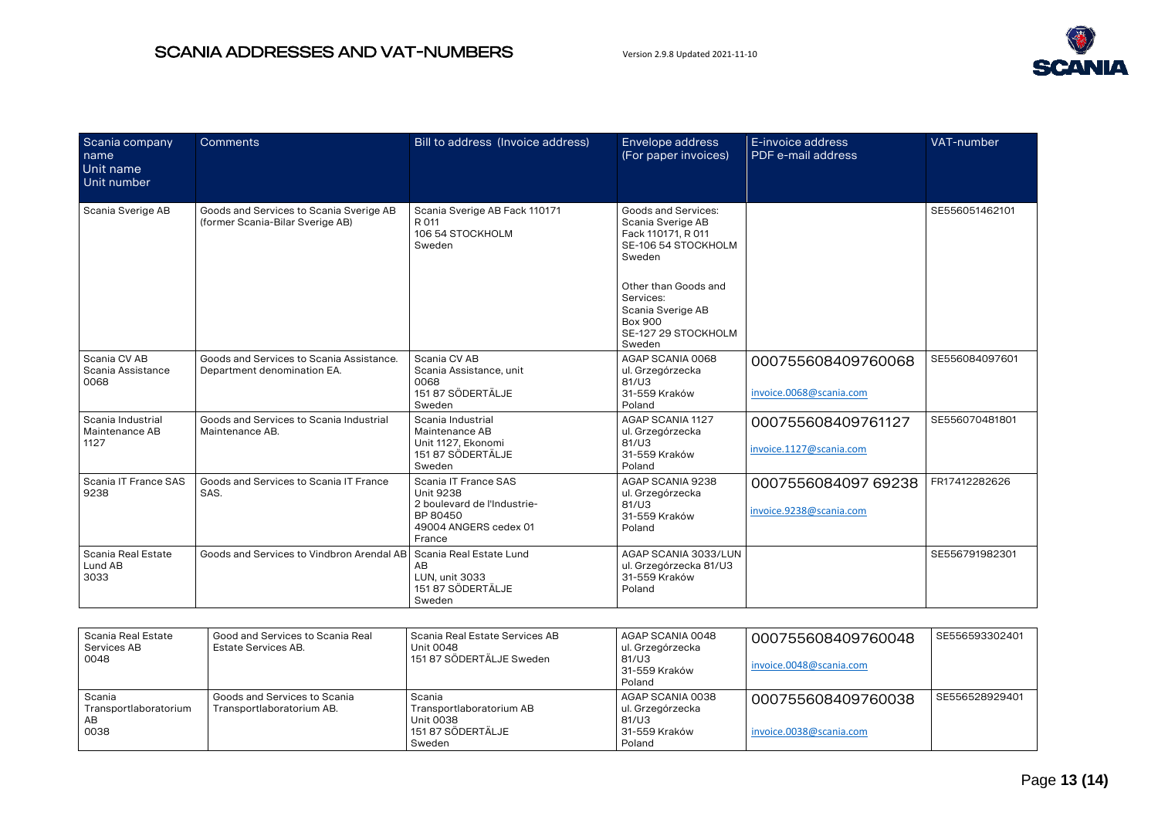

| Scania company<br>name<br>Unit name<br>Unit number | Comments                                                                    | Bill to address (Invoice address)                                                                                      | Envelope address<br>(For paper invoices)                                                                                                                                                                     | E-invoice address<br>PDF e-mail address        | VAT-number     |
|----------------------------------------------------|-----------------------------------------------------------------------------|------------------------------------------------------------------------------------------------------------------------|--------------------------------------------------------------------------------------------------------------------------------------------------------------------------------------------------------------|------------------------------------------------|----------------|
| Scania Sverige AB                                  | Goods and Services to Scania Sverige AB<br>(former Scania-Bilar Sverige AB) | Scania Sverige AB Fack 110171<br>R 011<br>106 54 STOCKHOLM<br>Sweden                                                   | Goods and Services:<br>Scania Sverige AB<br>Fack 110171, R 011<br>SE-106 54 STOCKHOLM<br>Sweden<br>Other than Goods and<br>Services:<br>Scania Sverige AB<br><b>Box 900</b><br>SE-127 29 STOCKHOLM<br>Sweden |                                                | SE556051462101 |
| Scania CV AB<br>Scania Assistance<br>0068          | Goods and Services to Scania Assistance.<br>Department denomination EA.     | Scania CV AB<br>Scania Assistance, unit<br>0068<br>151 87 SÖDERTÄLJE<br>Sweden                                         | AGAP SCANIA 0068<br>ul. Grzegórzecka<br>81/U3<br>31-559 Kraków<br>Poland                                                                                                                                     | 000755608409760068<br>invoice.0068@scania.com  | SE556084097601 |
| Scania Industrial<br>Maintenance AB<br>1127        | Goods and Services to Scania Industrial<br>Maintenance AB.                  | Scania Industrial<br>Maintenance AB<br>Unit 1127, Ekonomi<br>151 87 SÖDERTÄLJE<br>Sweden                               | AGAP SCANIA 1127<br>ul. Grzegórzecka<br>81/U3<br>31-559 Kraków<br>Poland                                                                                                                                     | 000755608409761127<br>invoice.1127@scania.com  | SE556070481801 |
| Scania IT France SAS<br>9238                       | Goods and Services to Scania IT France<br>SAS.                              | Scania IT France SAS<br><b>Unit 9238</b><br>2 boulevard de l'Industrie-<br>BP 80450<br>49004 ANGERS cedex 01<br>France | AGAP SCANIA 9238<br>ul. Grzegórzecka<br>81/U3<br>31-559 Kraków<br>Poland                                                                                                                                     | 0007556084097 69238<br>invoice.9238@scania.com | FR17412282626  |
| Scania Real Estate<br>Lund AB<br>3033              | Goods and Services to Vindbron Arendal AB                                   | Scania Real Estate Lund<br>AB<br>LUN, unit 3033<br>151 87 SÖDERTÄLJE<br>Sweden                                         | AGAP SCANIA 3033/LUN<br>ul. Grzegórzecka 81/U3<br>31-559 Kraków<br>Poland                                                                                                                                    |                                                | SE556791982301 |

| Scania Real Estate<br>Services AB<br>0048     | Good and Services to Scania Real<br>Estate Services AB.   | Scania Real Estate Services AB<br>Unit 0048<br>151 87 SÖDERTÄLJE Sweden        | AGAP SCANIA 0048<br>ul. Grzegórzecka<br>81/U3<br>31-559 Kraków<br>Poland | 000755608409760048<br>invoice.0048@scania.com | SE556593302401 |
|-----------------------------------------------|-----------------------------------------------------------|--------------------------------------------------------------------------------|--------------------------------------------------------------------------|-----------------------------------------------|----------------|
| Scania<br>Transportlaboratorium<br>AB<br>0038 | Goods and Services to Scania<br>Transportlaboratorium AB. | Scania<br>Transportlaboratorium AB<br>Unit 0038<br>151 87 SÖDERTÄLJE<br>Sweden | AGAP SCANIA 0038<br>ul. Grzegórzecka<br>81/U3<br>31-559 Kraków<br>Poland | 000755608409760038<br>invoice.0038@scania.com | SE556528929401 |